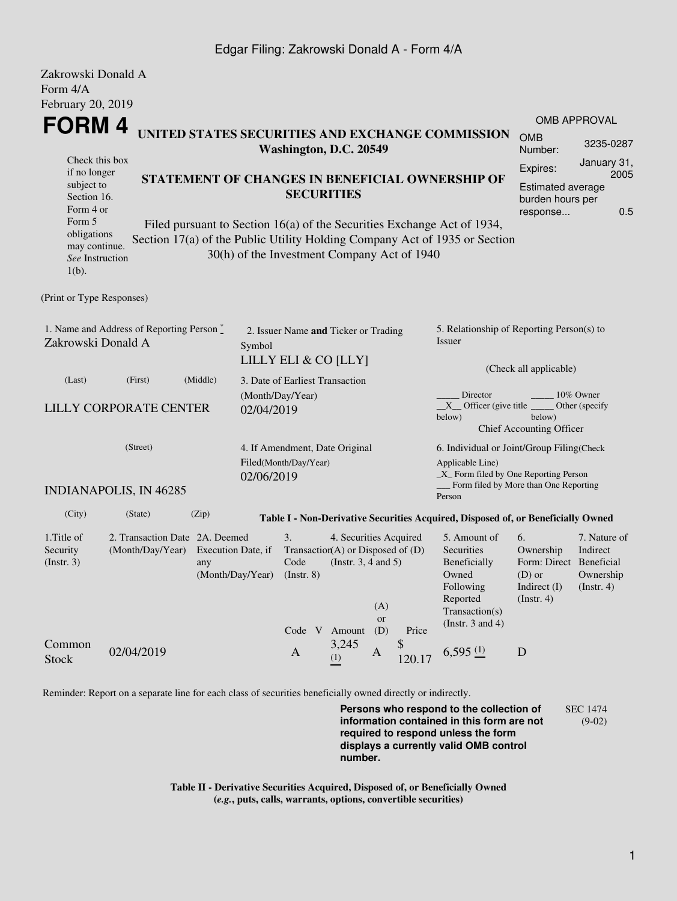## Edgar Filing: Zakrowski Donald A - Form 4/A

| Zakrowski Donald A                                                       |                                |          |                                                                         |                                                              |                                                                            |                     |                        |                                                                                             |                                    |                                      |  |
|--------------------------------------------------------------------------|--------------------------------|----------|-------------------------------------------------------------------------|--------------------------------------------------------------|----------------------------------------------------------------------------|---------------------|------------------------|---------------------------------------------------------------------------------------------|------------------------------------|--------------------------------------|--|
| Form 4/A                                                                 |                                |          |                                                                         |                                                              |                                                                            |                     |                        |                                                                                             |                                    |                                      |  |
| February 20, 2019                                                        |                                |          |                                                                         |                                                              |                                                                            |                     |                        |                                                                                             |                                    |                                      |  |
|                                                                          |                                |          |                                                                         |                                                              |                                                                            | <b>OMB APPROVAL</b> |                        |                                                                                             |                                    |                                      |  |
| FORM 4                                                                   |                                |          |                                                                         |                                                              | UNITED STATES SECURITIES AND EXCHANGE COMMISSION<br>Washington, D.C. 20549 |                     |                        |                                                                                             |                                    | 3235-0287                            |  |
| Check this box                                                           |                                |          |                                                                         |                                                              |                                                                            |                     |                        |                                                                                             | Expires:                           | January 31,                          |  |
| if no longer<br>subject to                                               |                                |          |                                                                         | STATEMENT OF CHANGES IN BENEFICIAL OWNERSHIP OF              |                                                                            |                     |                        |                                                                                             | 2005<br>Estimated average          |                                      |  |
| Section 16.                                                              |                                |          |                                                                         | <b>SECURITIES</b>                                            |                                                                            |                     |                        |                                                                                             | burden hours per                   |                                      |  |
|                                                                          | Form 4 or                      |          |                                                                         |                                                              |                                                                            |                     |                        |                                                                                             |                                    | 0.5                                  |  |
| Form 5<br>obligations                                                    |                                |          |                                                                         |                                                              |                                                                            |                     |                        | Filed pursuant to Section 16(a) of the Securities Exchange Act of 1934,                     |                                    |                                      |  |
| may continue.                                                            |                                |          |                                                                         |                                                              |                                                                            |                     |                        | Section 17(a) of the Public Utility Holding Company Act of 1935 or Section                  |                                    |                                      |  |
| See Instruction<br>$1(b)$ .                                              |                                |          |                                                                         | 30(h) of the Investment Company Act of 1940                  |                                                                            |                     |                        |                                                                                             |                                    |                                      |  |
| (Print or Type Responses)                                                |                                |          |                                                                         |                                                              |                                                                            |                     |                        |                                                                                             |                                    |                                      |  |
| 1. Name and Address of Reporting Person*<br>Zakrowski Donald A<br>Symbol |                                |          |                                                                         | 2. Issuer Name and Ticker or Trading<br>LILLY ELI & CO [LLY] |                                                                            |                     |                        | 5. Relationship of Reporting Person(s) to<br><i>Issuer</i>                                  |                                    |                                      |  |
|                                                                          |                                |          |                                                                         |                                                              |                                                                            |                     | (Check all applicable) |                                                                                             |                                    |                                      |  |
| (Last)                                                                   | (First)                        | (Middle) |                                                                         | 3. Date of Earliest Transaction                              |                                                                            |                     |                        |                                                                                             |                                    |                                      |  |
|                                                                          | <b>LILLY CORPORATE CENTER</b>  |          |                                                                         | (Month/Day/Year)                                             |                                                                            |                     |                        | 10% Owner<br>Director<br>$X$ Officer (give title $\overline{\phantom{a}}$<br>Other (specify |                                    |                                      |  |
|                                                                          |                                |          | 02/04/2019                                                              |                                                              |                                                                            |                     |                        | below)                                                                                      | below)<br>Chief Accounting Officer |                                      |  |
|                                                                          | (Street)                       |          |                                                                         | 4. If Amendment, Date Original                               |                                                                            |                     |                        | 6. Individual or Joint/Group Filing(Check                                                   |                                    |                                      |  |
|                                                                          |                                |          | Filed(Month/Day/Year)                                                   |                                                              |                                                                            |                     | Applicable Line)       |                                                                                             |                                    |                                      |  |
|                                                                          | <b>INDIANAPOLIS, IN 46285</b>  |          | 02/06/2019                                                              |                                                              |                                                                            |                     |                        | $\_X$ Form filed by One Reporting Person<br>Form filed by More than One Reporting<br>Person |                                    |                                      |  |
| (City)                                                                   | (State)                        | (Zip)    |                                                                         |                                                              |                                                                            |                     |                        | Table I - Non-Derivative Securities Acquired, Disposed of, or Beneficially Owned            |                                    |                                      |  |
| 1. Title of                                                              | 2. Transaction Date 2A. Deemed |          |                                                                         | 3.                                                           | 4. Securities Acquired                                                     |                     |                        | 5. Amount of                                                                                | 6.                                 | 7. Nature of                         |  |
| Security                                                                 | (Month/Day/Year)               |          | Execution Date, if                                                      | Transaction(A) or Disposed of $(D)$                          |                                                                            |                     |                        | Securities                                                                                  | Ownership                          | Indirect                             |  |
| (Insert. 3)                                                              |                                | any      | Code<br>(Instr. $3, 4$ and $5$ )<br>(Month/Day/Year)<br>$($ Instr. $8)$ |                                                              |                                                                            |                     |                        | Beneficially<br>Owned<br>$(D)$ or                                                           |                                    | Form: Direct Beneficial<br>Ownership |  |
|                                                                          |                                |          |                                                                         |                                                              |                                                                            |                     |                        | Following                                                                                   | Indirect $(I)$                     | (Insert. 4)                          |  |
|                                                                          |                                |          |                                                                         |                                                              |                                                                            | (A)                 |                        | Reported                                                                                    | (Insert. 4)                        |                                      |  |
|                                                                          |                                |          |                                                                         |                                                              |                                                                            | or                  |                        | Transaction(s)<br>(Instr. $3$ and $4$ )                                                     |                                    |                                      |  |
|                                                                          |                                |          |                                                                         | Code V Amount                                                |                                                                            | (D)                 | Price                  |                                                                                             |                                    |                                      |  |
| Common<br><b>Stock</b>                                                   | 02/04/2019                     |          |                                                                         | $\mathbf{A}$                                                 | 3,245<br>(1)                                                               | $\mathbf{A}$        | \$<br>120.17           | $6,595$ $(1)$                                                                               | $\mathbf D$                        |                                      |  |

Reminder: Report on a separate line for each class of securities beneficially owned directly or indirectly.

**Persons who respond to the collection of information contained in this form are not required to respond unless the form displays a currently valid OMB control number.** SEC 1474 (9-02)

**Table II - Derivative Securities Acquired, Disposed of, or Beneficially Owned (***e.g.***, puts, calls, warrants, options, convertible securities)**